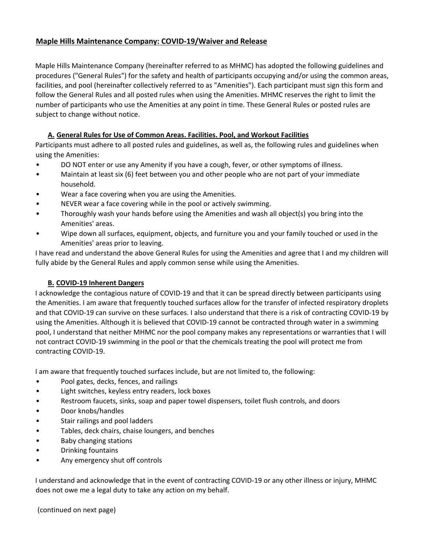## **Maple Hills Maintenance Company: COVID-19/Waiver and Release**

Maple Hills Maintenance Company (hereinafter referred to as MHMC) has adopted the following guidelines and procedures ("General Rules") for the safety and health of participants occupying and/or using the common areas, facilities, and pool (hereinafter collectively referred to as "Amenities"). Each participant must sign this form and follow the General Rules and all posted rules when using the Amenities. MHMC reserves the right to limit the number of participants who use the Amenities at any point in time. These General Rules or posted rules are subject to change without notice.

## **A. General Rules for Use of Common Areas. Facilities. Pool, and Workout Facilities**

Participants must adhere to all posted rules and guidelines, as well as, the following rules and guidelines when using the Amenities:

- DO NOT enter or use any Amenity if you have a cough, fever, or other symptoms of illness.
- Maintain at least six (6) feet between you and other people who are not part of your immediate household.
- Wear a face covering when you are using the Amenities.
- NEVER wear a face covering while in the pool or actively swimming.
- Thoroughly wash your hands before using the Amenities and wash all object(s) you bring into the Amenities' areas.
- Wipe down all surfaces, equipment, objects, and furniture you and your family touched or used in the Amenities' areas prior to leaving.

I have read and understand the above General Rules for using the Amenities and agree that I and my children will fully abide by the General Rules and apply common sense while using the Amenities.

## **B. COVID-19 Inherent Dangers**

I acknowledge the contagious nature of COVID-19 and that it can be spread directly between participants using the Amenities. I am aware that frequently touched surfaces allow for the transfer of infected respiratory droplets and that COVID-19 can survive on these surfaces. I also understand that there is a risk of contracting COVID-19 by using the Amenities. Although it is believed that COVID-19 cannot be contracted through water in a swimming pool, I understand that neither MHMC nor the pool company makes any representations or warranties that I will not contract COVID-19 swimming in the pool or that the chemicals treating the pool will protect me from contracting COVID-19.

I am aware that frequently touched surfaces include, but are not limited to, the following:

- Pool gates, decks, fences, and railings
- Light switches, keyless entry readers, lock boxes
- Restroom faucets, sinks, soap and paper towel dispensers, toilet flush controls, and doors
- Door knobs/handles
- Stair railings and pool ladders
- Tables, deck chairs, chaise loungers, and benches
- Baby changing stations
- Drinking fountains
- Any emergency shut off controls

I understand and acknowledge that in the event of contracting COVID-19 or any other illness or injury, MHMC does not owe me a legal duty to take any action on my behalf.

(continued on next page)